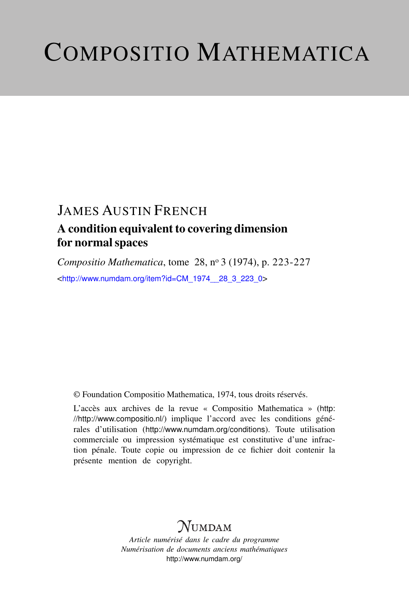# COMPOSITIO MATHEMATICA

## JAMES AUSTIN FRENCH

## A condition equivalent to covering dimension for normal spaces

*Compositio Mathematica*, tome 28, n<sup>o</sup> 3 (1974), p. 223-227 <[http://www.numdam.org/item?id=CM\\_1974\\_\\_28\\_3\\_223\\_0](http://www.numdam.org/item?id=CM_1974__28_3_223_0)>

© Foundation Compositio Mathematica, 1974, tous droits réservés.

L'accès aux archives de la revue « Compositio Mathematica » ([http:](http://http://www.compositio.nl/) [//http://www.compositio.nl/](http://http://www.compositio.nl/)) implique l'accord avec les conditions générales d'utilisation (<http://www.numdam.org/conditions>). Toute utilisation commerciale ou impression systématique est constitutive d'une infraction pénale. Toute copie ou impression de ce fichier doit contenir la présente mention de copyright.

## $N$ UMDAM

*Article numérisé dans le cadre du programme Numérisation de documents anciens mathématiques* <http://www.numdam.org/>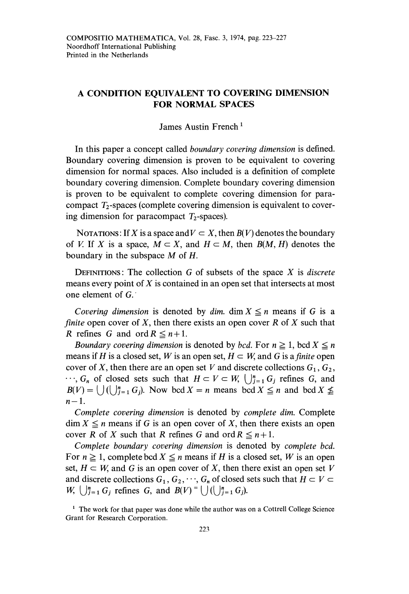### A CONDITION EQUIVALENT TO COVERING DIMENSION FOR NORMAL SPACES

#### James Austin French 1

In this paper a concept called boundary covering dimension is defined. Boundary covering dimension is proven to be equivalent to covering dimension for normal spaces. Also included is a definition of complete boundary covering dimension. Complete boundary covering dimension is proven to be equivalent to complete covering dimension for paracompact  $T_2$ -spaces (complete covering dimension is equivalent to covering dimension for paracompact  $T_2$ -spaces).

NOTATIONS: If X is a space and  $V \subset X$ , then  $B(V)$  denotes the boundary of V. If X is a space,  $M \subset X$ , and  $H \subset M$ , then  $B(M, H)$  denotes the boundary in the subspace M of H.

DEFINITIONS: The collection  $G$  of subsets of the space  $X$  is *discrete* means every point of  $X$  is contained in an open set that intersects at most one element of G.

Covering dimension is denoted by dim. dim  $X \leq n$  means if G is a finite open cover of X, then there exists an open cover  $R$  of  $X$  such that R refines G and ord  $R \le n+1$ .

Boundary covering dimension is denoted by bcd. For  $n \geq 1$ , bcd  $X \leq n$ means if H is a closed set, W is an open set,  $H \subset W$ , and G is a finite open cover of X, then there are an open set V and discrete collections  $G_1, G_2$ ,  $\cdots$ ,  $G_n$  of closed sets such that  $H \subset V \subset W$ ,  $\bigcup_{j=1}^{n} G_j$  refines G, and cover of X, then there are an open set V and discrete collections  $G_1$ ,  $G_2$ ,<br>  $\cdots$ ,  $G_n$  of closed sets such that  $H \subset V \subset W$ ,  $\bigcup_{j=1}^n G_j$  refines G, and  $B(V) = \bigcup (\bigcup_{j=1}^n G_j)$ . Now bcd  $X = n$  means bcd  $X \leq n$  and bc  $n-1$ .

Complete covering dimension is denoted by complete dim. Complete  $\dim X \le n$  means if G is an open cover of X, then there exists an open cover R of X such that R refines G and ord  $R \le n+1$ .

Complete boundary covering dimension is denoted by complete bcd. For  $n \geq 1$ , complete bcd  $X \leq n$  means if H is a closed set, W is an open set,  $H \subset W$ , and G is an open cover of X, then there exist an open set V and discrete collections  $G_1, G_2, \dots, G_n$  of closed sets such that  $H \subset V \subset$  $W_i$ ,  $\bigcup_{j=1}^n G_j$  refines G, and  $B(V) = \bigcup_{j=1}^n G_j$ .

 $<sup>1</sup>$  The work for that paper was done while the author was on a Cottrell College Science</sup> Grant for Research Corporation.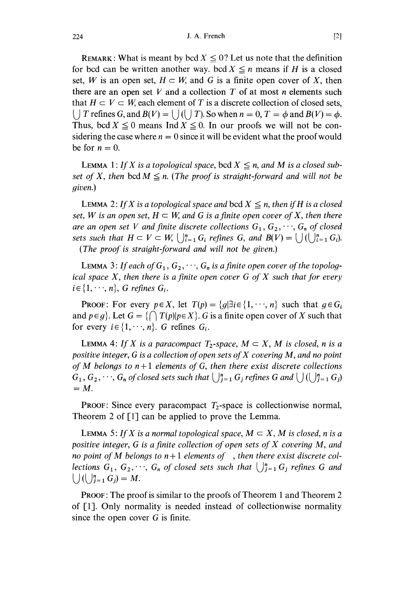REMARK: What is meant by bcd  $X \leq 0$ ? Let us note that the definition for bcd can be written another way. bcd  $X \leq n$  means if H is a closed set, W is an open set,  $H \subset W$ , and G is a finite open cover of X, then there are an open set  $V$  and a collection  $T$  of at most n elements such that  $H \subset V \subset W$ , each element of T is a discrete collection of closed sets,  $\Box$  T refines G, and  $B(V) = \Box$   $(\Box$  T). So when  $n = 0$ ,  $T = \phi$  and  $B(V) = \phi$ . Thus, bcd  $X \leq 0$  means Ind  $X \leq 0$ . In our proofs we will not be considering the case where  $n = 0$  since it will be evident what the proof would be for  $n = 0$ .

LEMMA 1: If X is a topological space, bcd  $X \le n$ , and M is a closed subset of X, then bcd  $M \le n$ . (The proof is straight-forward and will not be given.)

LEMMA 2: If X is a topological space and bcd  $X \le n$ , then if H is a closed set, W is an open set,  $H \subset W$ , and G is a finite open cover of X, then there are an open set V and finite discrete collections  $G_1, G_2, \dots, G_n$  of closed sets such that  $H \subset V \subset W$ ,  $\bigcup_{i=1}^n G_i$  refines G, and  $B(V) = \bigcup_{i=1}^n (U_i)_{i=1}^n G_i$ . (The proof is straight-forward and will not be given.)

**LEMMA** 3: If each of  $G_1, G_2, \dots, G_n$  is a finite open cover of the topological space  $X$ , then there is a finite open cover  $G$  of  $X$  such that for every  $i \in \{1, \dots, n\}$ , G refines  $G_i$ .

**PROOF:** For every  $p \in X$ , let  $T(p) = \{g | \exists i \in \{1, \dots, n\}$  such that  $g \in G_i$ and  $p \in g$ . Let  $G = \{ \bigcap T(p) | p \in X \}$ . G is a finite open cover of X such that for every  $i \in \{1, \dots, n\}$ . G refines  $G_i$ .

LEMMA 4: If X is a paracompact  $T_2$ -space,  $M \subset X$ , M is closed, n is a positive integer, G is a collection of open sets of X covering M, and no point of M belongs to  $n+1$  elements of G, then there exist discrete collections  $G_1, G_2, \dots, G_n$  of closed sets such that  $\bigcup_{j=1}^n G_j$  refines G and  $\bigcup \bigcup_{j=1}^n G_j$  $=$   $M$ .

**PROOF:** Since every paracompact  $T_2$ -space is collectionwise normal, Theorem 2 of [1] can be applied to prove the Lemma.

**LEMMA 5:** If X is a normal topological space,  $M \subset X$ , M is closed, n is a positive integer, G is a finite collection of open sets of  $X$  covering  $M$ , and no point of M belongs to  $n+1$  elements of, then there exist discrete collections  $G_1, G_2, \dots, G_n$  of closed sets such that  $\bigcup_{j=1}^n G_j$  refines G and  $\bigcup \big( \bigcup_{i=1}^n G_i \big) = M.$ 

PROOF : The proof is similar to the proofs of Theorem 1 and Theorem 2 of [1]. Only normality is needed instead of collectionwise normality since the open cover  $G$  is finite.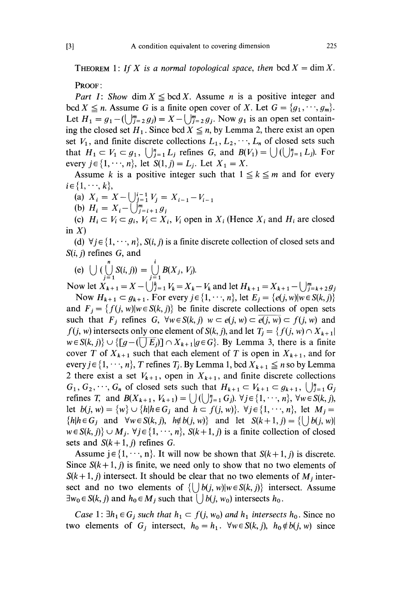THEOREM 1: If X is a normal topological space, then bcd  $X = \dim X$ .

PROOF :

Part I: Show dim  $X \leq \text{bcd } X$ . Assume n is a positive integer and bcd  $X \le n$ . Assume G is a finite open cover of X. Let  $G = \{g_1, \dots, g_m\}$ . Let  $H_1 = g_1 - (\bigcup_{j=2}^m g_j) = X - \bigcup_{j=2}^m g_j$ . Now  $g_1$  is an open set containing the closed set  $H_1$ . Since bcd  $X \leq n$ , by Lemma 2, there exist an open set  $V_1$ , and finite discrete collections  $L_1, L_2, \dots, L_n$  of closed sets such that  $H_1 \subset V_1 \subset g_1$ ,  $\bigcup_{i=1}^n L_i$  refines G, and  $B(V_1) = \bigcup_{i=1}^n L_i$ . For every  $j \in \{1, \dots, n\}$ , let  $S(1, j) = L_j$ . Let  $X_1 = X$ .

Assume k is a positive integer such that  $1 \le k \le m$  and for every

 $i \in \{1, \dots, k\},$ <br>(a)  $X_i = X - \bigcup_{j=1}^{i-1} V_j = X_{i-1} - V_{i-1}$ (b)  $H_i = X_i - \tilde{\bigcup}_{i=i+1}^{m} g_i$ 

(c)  $H_i \subset V_i \subset g_i$ ,  $V_i \subset X_i$ ,  $V_i$  open in  $X_i$  (Hence  $X_i$  and  $H_i$  are closed in  $X$ )

(d)  $\forall j \in \{1, \dots, n\}$ ,  $S(i, j)$  is a finite discrete collection of closed sets and

S(*i*, *j*) refines G, and<br>
(e)  $\bigcup \big(\bigcup_{j=1}^{n} S(i, j)\big) = \bigcup_{i=1}^{i} B(X_i, V_i).$ 

Now let  $X_{k+1} = X - \bigcup_{j=1}^{k} V_k = X_k - V_k$  and let  $H_{k+1} = X_{k+1} - \bigcup_{j=k+2}^{m} g_j$ 

Now  $H_{k+1} \subset g_{k+1}$ . For every  $j \in \{1, \dots, n\}$ , let  $E_i = \{e(j, w) | w \in S(k, j)\}\$ and  $F_i = \{f(j, w) | w \in S(k, j)\}\)$  be finite discrete collections of open sets such that  $F_j$  refines G,  $\forall w \in S(k, j)$   $w \subset e(j, w) \subset \overline{e(j, w)} \subset f(j, w)$  and  $f(j, w)$  intersects only one element of  $S(k, j)$ , and let  $T_i = \{f(j, w) \cap X_{k+1} | j \in I \}$  $w \in S(k, j)$   $\cup$   $\{ [g-(\sqrt{E_j})] \cap X_{k+1} | g \in G \}$ . By Lemma 3, there is a finite cover T of  $X_{k+1}$  such that each element of T is open in  $X_{k+1}$ , and for every  $j \in \{1, \dots, n\}$ , T refines  $T_j$ . By Lemma 1, bcd  $X_{k+1} \leq n$  so by Lemma 2 there exist a set  $V_{k+1}$ , open in  $X_{k+1}$ , and finite discrete collections  $G_1, G_2, \dots, G_n$  of closed sets such that  $H_{k+1} \subset V_{k+1} \subset g_{k+1}, \cup_{j=1}^n G_j$ refines T, and  $B(X_{k+1}, V_{k+1}) = \bigcup (\bigcup_{j=1}^{n} G_j)$ .  $\forall j \in \{1, \dots, n\}$ ,  $\forall w \in S(k, j)$ , let  $b(j, w) = \{w\} \cup \{h | h \in G_j \text{ and } h \subset f(j, w)\}\$ .  $\forall j \in \{1, \dots, n\}$ , let  $M_j =$  ${h|h \in G_j \text{ and } \forall w \in S(k, j), h \notin b(j, w)}$  and let  $S(k + 1, j) = { |b(j, w)|}$  $w \in S(k, j) \cup M_j$ .  $\forall j \in \{1, \dots, n\}$ ,  $S(k+1, j)$  is a finite collection of closed sets and  $S(k+1, j)$  refines G.

Assume  $j \in \{1, \dots, n\}$ . It will now be shown that  $S(k+1, j)$  is discrete. Since  $S(k+1, j)$  is finite, we need only to show that no two elements of  $S(k+1, j)$  intersect. It should be clear that no two elements of  $M_j$  intersect and no two elements of  $\{ \bigcup b(j, w) | w \in S(k, j) \}$  intersect. Assume refines *T*, and  $B(X_{k+1}, V_{k+1}) = \bigcup (\bigcup_{j=1}^{n} G_j)$ .  $\forall j \in \{1, \dots, n\}$ ,  $\forall w \in S(k, j)$ ,<br>let  $b(j, w) = \{w\} \cup \{h | h \in G_j \text{ and } h \subset f(j, w)\}$ .  $\forall j \in \{1, \dots, n\}$ , let  $M_j =$ <br> $\{h | h \in G_j \text{ and } \forall w \in S(k, j), h \notin b(j, w)\}$  and let  $S(k+1, j) = \{\bigcup b(j, w) |$  $\exists w_0 \in S(k, j)$  and  $h_0 \in M_j$  such that  $\bigcup b(j, w_0)$  intersects  $h_0$ .

*Case* 1:  $\exists h_1 \in G_i$  such that  $h_1 \subset f(j, w_0)$  and  $h_1$  intersects  $h_0$ . Since no two elements of G<sub>j</sub> intersect,  $h_0=h_1$ .  $\forall w \in S(k, j)$ ,  $h_0 \notin b(j, w)$  since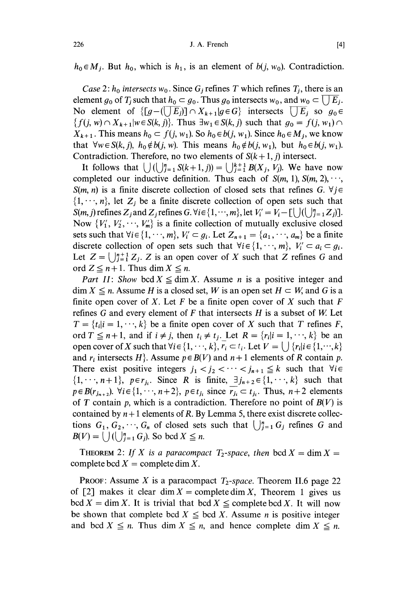$h_0 \in M_i$ . But  $h_0$ , which is  $h_1$ , is an element of  $b(i, w_0)$ . Contradiction.

Case 2:  $h_0$  intersects  $w_0$ . Since  $G_i$  refines T which refines  $T_i$ , there is an element  $g_0$  of  $T_i$  such that  $h_0 \subset g_0$ . Thus  $g_0$  intersects  $w_0$ , and  $w_0 \subset \prod E_i$ . No element of  $\{[g-(\overline{\bigcup E_j}]] \cap X_{k+1}| g \in G\}$  intersects  $\overline{\bigcup E_j}$  so  $g_0 \in \{f(j, w) \cap X_{k+1}| w \in S(k, j)\}$ . Thus  $\exists w_1 \in S(k, j)$  such that  $g_0 = f(j, w_1) \cap S(k, j)$  $X_{k+1}$ . This means  $h_0 \subset f(j, w_1)$ . So  $h_0 \in b(j, w_1)$ . Since  $h_0 \in M_j$ , we know that  $\forall w \in S(k, j)$ ,  $h_0 \notin b(j, w)$ . This means  $h_0 \notin b(j, w_1)$ , but  $h_0 \in b(j, w_1)$ . Contradiction. Therefore, no two elements of  $S(k+1, j)$  intersect.

It follows that  $\bigcup_{i=1}^n S(k+1, j)\big) = \bigcup_{i=1}^{k+1} B(X_i, V_i)$ . We have now completed our inductive definition. Thus each of  $S(m, 1)$ ,  $S(m, 2)$ , ...,  $S(m, n)$  is a finite discrete collection of closed sets that refines G.  $\forall j \in$  $\{1,\dots, n\}$ , let  $Z_i$  be a finite discrete collection of open sets such that  $S(m, j)$  refines  $Z_j$  and  $Z_j$  refines  $G$ .  $\forall i \in \{1, \dots, m\}$ , let  $V_i' = V_i - [\bigcup_{i \in I} ([j]_{i=1}^n Z_j)].$ Now  $\{V'_1, V'_2, \cdots, V'_m\}$  is a finite collection of mutually exclusive closed sets such that  $\forall i \in \{1, \dots, m\}, V'_i \subset g_i$ . Let  $Z_{n+1} = \{a_1, \dots, a_m\}$  be a finite discrete collection of open sets such that  $\forall i \in \{1, \dots, m\}, V'_i \subset a_i \subset g_i$ . Let  $Z = \bigcup_{j=1}^{n+1} Z_j$ . Z is an open cover of X such that Z refines G and ord  $Z \leq n+1$ . Thus dim  $X \leq n$ .

Part II: Show bcd  $X \le \dim X$ . Assume *n* is a positive integer and  $\dim X \le n$ . Assume H is a closed set, W is an open set  $H \subset W$ , and G is a finite open cover of X. Let F be a finite open cover of X such that  $F$ refines  $G$  and every element of  $F$  that intersects  $H$  is a subset of  $W$ . Let  $T = \{t_i | i = 1, \dots, k\}$  be a finite open cover of X such that T refines F, ord  $T \leq n+1$ , and if  $i \neq j$ , then  $t_i \neq t_j$ . Let  $R = \{r_i | i = 1, \dots, k\}$  be an open cover of X such that  $\forall i \in \{1, \dots, k\}$ ,  $r_i \subset t_i$ . Let  $V = \bigcup \{r_i | i \in \{1, \dots, k\} \}$ and  $r_i$  intersects H, Assume  $p \in B(V)$  and  $n+1$  elements of R contain p. There exist positive integers  $j_1 < j_2 < \cdots < j_{n+1} \leq k$  such that  $\forall i \in$  $\{1,\dots,n+1\}$ ,  $p \in r_{i_1}$ . Since R is finite,  $\exists j_{n+2} \in \{1,\dots,k\}$  such that  $p \in B(r_{j_{n+2}})$ .  $\forall i \in \{1, \dots, n+2\}$ ,  $p \in t_{j_i}$  since  $\overline{r_{j_i}} \subset t_{j_i}$ . Thus,  $n+2$  elements of T contain p, which is a contradiction. Therefore no point of  $B(V)$  is contained by  $n+1$  elements of R. By Lemma 5, there exist discrete collections  $G_1, G_2, \dots, G_n$  of closed sets such that  $\bigcup_{j=1}^n G_j$  refines G and  $B(V) = \bigcup_{i=1}^n G_i$ . So bcd  $X \leq n$ .

THEOREM 2: If X is a paracompact  $T_2$ -space, then bcd  $X = \dim X =$ complete bcd  $X =$  complete dim X.

**PROOF:** Assume X is a paracompact  $T_2$ -space. Theorem II.6 page 22 of [2] makes it clear dim  $X =$  complete dim X, Theorem 1 gives us  $\text{bcd } X = \dim X$ . It is trivial that  $\text{bcd } X \leq \text{complete } \text{bcd } X$ . It will now be shown that complete bcd  $X \leq$  bcd X. Assume *n* is positive integer and bcd  $X \leq n$ . Thus dim  $X \leq n$ , and hence complete dim  $X \leq n$ .